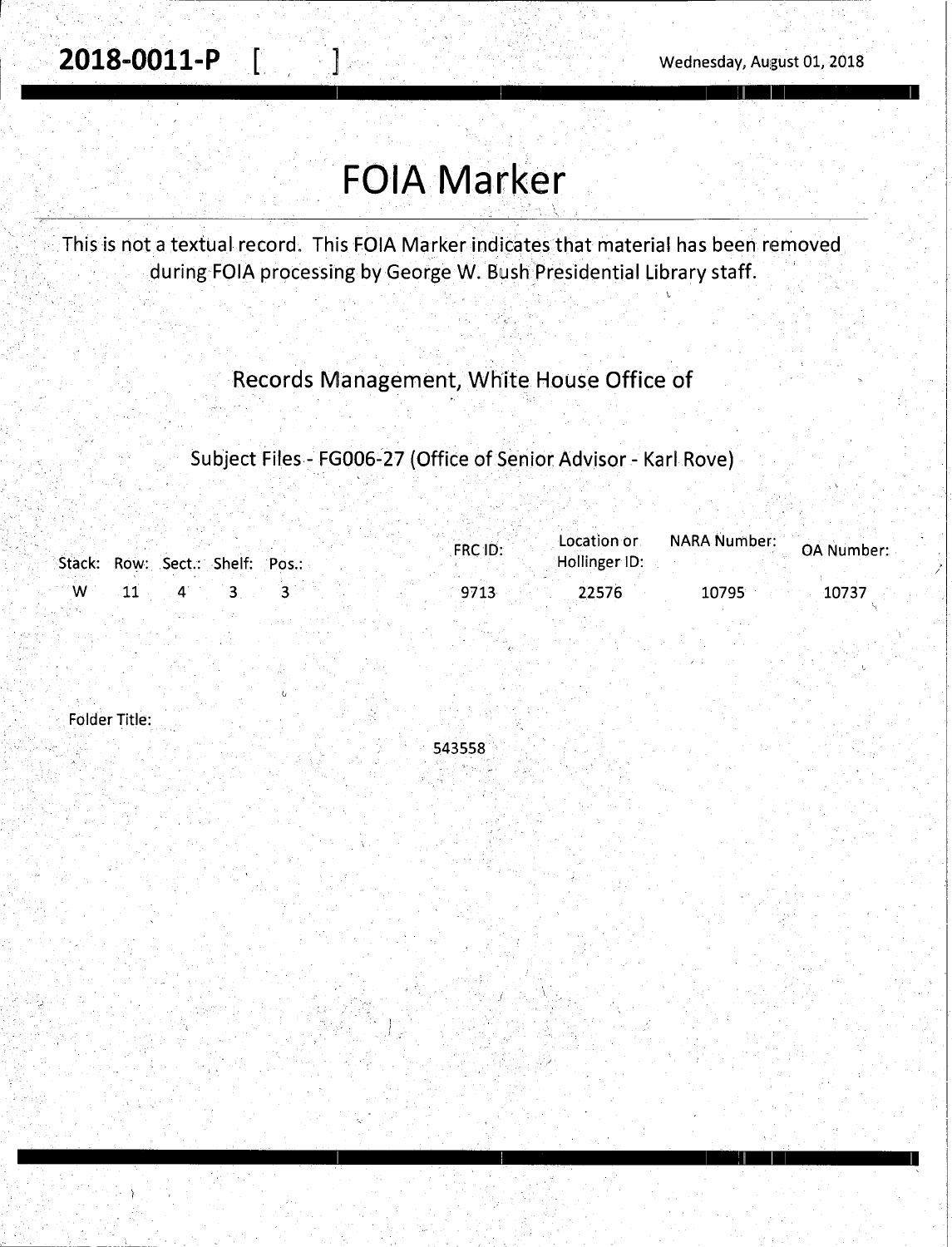/

<u>I se ingles a proportiva de la proportiva de la proportiva de la proportiva de la proportiva de la proportiva de la proportiva de la proportiva de la proportiva de la proportiva de la proportiva de la proportiva de la pro</u>

I I I '.II I I I

# . **FOIA Marker**

This is not a textual record. This FOIA Marker indicates that material has been removed during FOIA processing by George W. Bush Presidential Library staff.

### Records Management, White House Office of

Subject Files - FG006~27 (Office of Senior Advisor - Karl Rove)

|       |                                 |  | FRC ID: | Location or   | <b>NARA Number:</b> | <b>OA Number:</b> |
|-------|---------------------------------|--|---------|---------------|---------------------|-------------------|
|       | Stack: Row: Sect.: Shelf: Pos.: |  |         | Hollinger ID: |                     |                   |
| ∵ W : |                                 |  | 971.    | 22576         | 10795               | 10737             |

Folder Title:

. )



 $I_{\rm{in}}$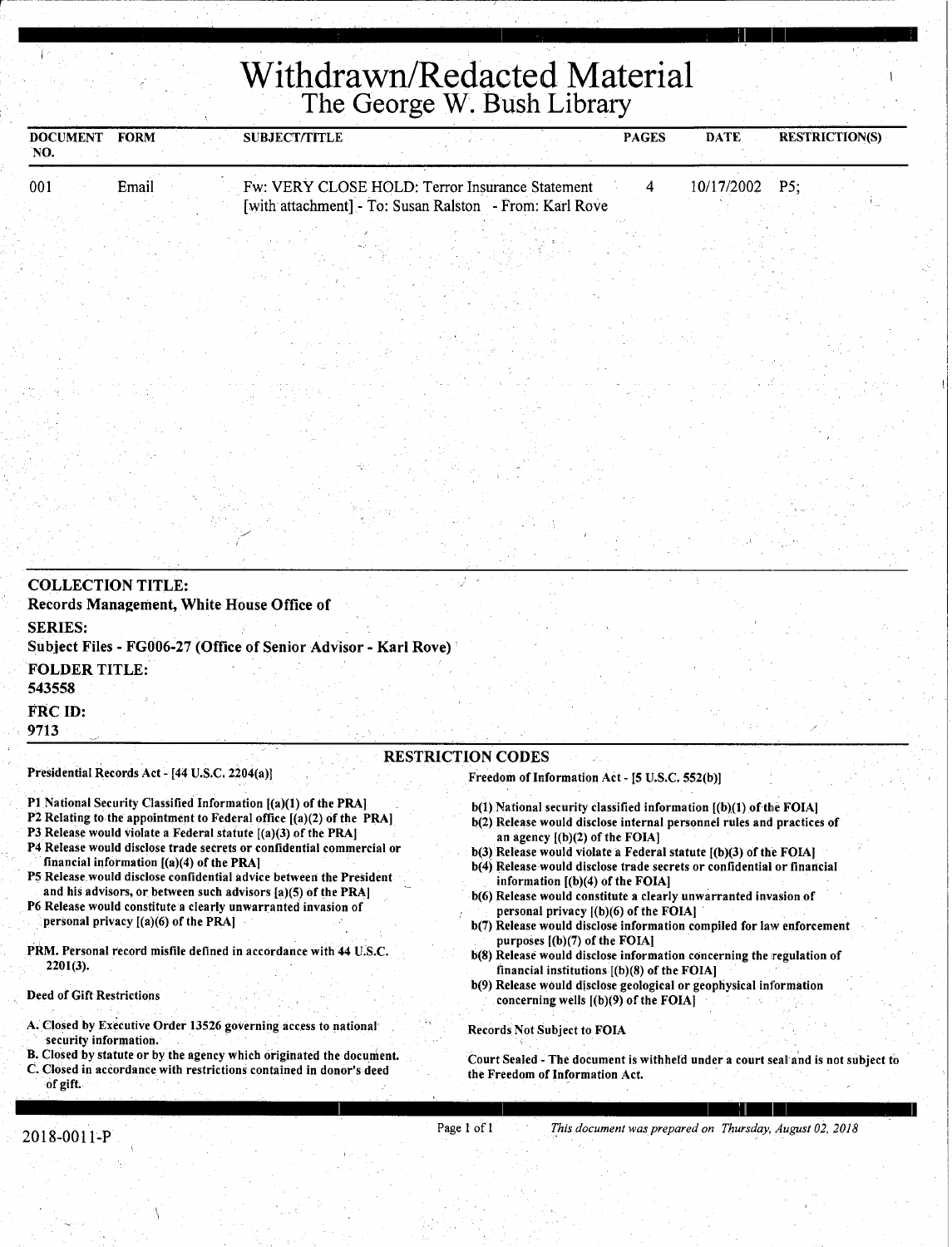# **Withdrawn/Redacted Material**  The George W. Bush Library

| <b>DOCUMENT</b><br>'NO. | <b>FORM</b> | <b>SUBJECT/TITLE</b> |                                                                                                            | <b>PAGES</b> | <b>DATE</b>      | <b>RESTRICTION(S)</b> |  |
|-------------------------|-------------|----------------------|------------------------------------------------------------------------------------------------------------|--------------|------------------|-----------------------|--|
| 001                     | Email       |                      | Fw: VERY CLOSE HOLD: Terror Insurance Statement<br>[with attachment] - To: Susan Ralston - From: Karl Rove |              | $10/17/2002$ P5: |                       |  |
|                         |             |                      |                                                                                                            |              |                  |                       |  |

| <b>SERIES:</b><br>Subject Files - FG006-27 (Office of Senior Advisor - Karl Rove)<br><b>FOLDER TITLE:</b><br>543558<br>FRC ID: |                                                                        |
|--------------------------------------------------------------------------------------------------------------------------------|------------------------------------------------------------------------|
| 9713                                                                                                                           | <b>RESTRICTION CODES</b>                                               |
| Presidential Records Act - [44 U.S.C. 2204(a)]                                                                                 | Freedom of Information Act - [5 U.S.C. 552(b)]                         |
| P1 National Security Classified Information [(a)(1) of the PRA]                                                                | b(1) National security classified information ((b)(1) of the FOIAl     |
| P2 Relating to the appointment to Federal office $[(a)(2)$ of the PRA]                                                         | b(2) Release would disclose internal personnel rules and practices of  |
| P3 Release would violate a Federal statute [(a)(3) of the PRA]                                                                 | an agency $[(b)(2)$ of the FOIA]                                       |
| P4 Release would disclose trade secrets or confidential commercial or                                                          | $b(3)$ Release would violate a Federal statute $(6)(3)$ of the FOIA]   |
| financial information $[(a)(4)$ of the PRA1                                                                                    | b(4) Release would disclose trade secrets or confidential or financial |

P5 Release would disclose confidential advice between the President. and his advisors, or between such advisors [a)(S) of the PRA)

P6 Release would constitute a clearly unwarranted invasion of personal privacy [(a)(6) of the PRA)

PRM. Personal record misfile defined in accordance with 44 U.S.C. 2201(3).

#### Deed of Gift Restrictions

r --·.

A. Closed by Executive Order 13526 governing access to national security information.

B. Closed by statute or by the agency which originated the document. C. Closed in accordance with restrictions contained in donor's deed of gift.

- b(4) Release would disclose trade secrets or confidential or financial information [(b)(4) of the FOIA)
- b(6) Release would constitute a clearly unwarranted invasion of personal privacy  $[(b)(6)$  of the FOIA]
- b(7) Release would disclose information compiled for law enforcement purposes [(b)(7) of the FOIA)
- b(8) Release would disclose information concerning the regulation of financial institutions [(b)(8) of the FOIA)
- b(9) Release would disclose geological or geophysical information concerning wells [(b)(9) of the FOIA)

#### Records Not Subject to FOIA

I I I : II I

Court Sealed - The document is withheld under a court seal and is not subject to the Freedom of Information Act.

2018-0011-P Page 1 of 1 *This document was prepared on Thursday, August 02, 2018*